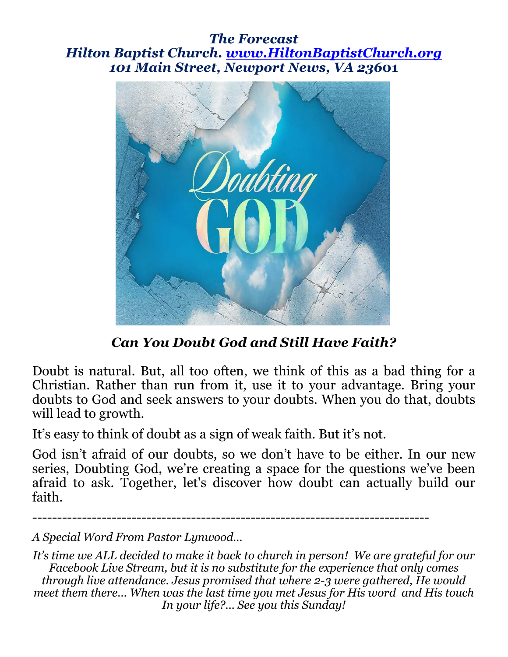#### *The Forecast Hilton Baptist Church. www.HiltonBaptistChurch.org 101 Main Street, Newport News, VA 236***01**



*Can You Doubt God and Still Have Faith?* 

**From Pastor Lynwood and the Hilton Bapst Church Family**  Doubt is natural. But, all too often, we think of this as a bad thing for a Christian. Rather than run from it, use it to your advantage. Bring your doubts to God and seek answers to your doubts. When you do that, doubts will lead to growth.

It's easy to think of doubt as a sign of weak faith. But it's not.

God isn't afraid of our doubts, so we don't have to be either. In our new series, Doubting God, we're creating a space for the questions we've been afraid to ask. Together, let's discover how doubt can actually build our faith.

--------------------------------------------------------------------------------

*A Special Word From Pastor Lynwood…* 

*It's time we ALL decided to make it back to church in person! We are grateful for our Facebook Live Stream, but it is no substitute for the experience that only comes through live attendance. Jesus promised that where 2-3 were gathered, He would meet them there… When was the last time you met Jesus for His word and His touch In your life?... See you this Sunday!*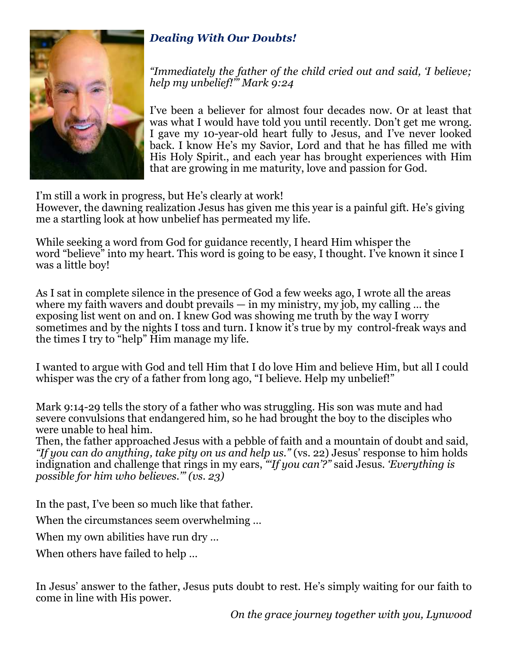

#### *Dealing With Our Doubts!*

*"Immediately the father of the child cried out and said, 'I believe; help my unbelief!'" Mark 9:24* 

I've been a believer for almost four decades now. Or at least that was what I would have told you until recently. Don't get me wrong. I gave my 10-year-old heart fully to Jesus, and I've never looked back. I know He's my Savior, Lord and that he has filled me with His Holy Spirit., and each year has brought experiences with Him that are growing in me maturity, love and passion for God.

I'm still a work in progress, but He's clearly at work! However, the dawning realization Jesus has given me this year is a painful gift. He's giving me a startling look at how unbelief has permeated my life.

While seeking a word from God for guidance recently, I heard Him whisper the word "believe" into my heart. This word is going to be easy, I thought. I've known it since I was a little boy!

As I sat in complete silence in the presence of God a few weeks ago, I wrote all the areas where my faith wavers and doubt prevails  $-$  in my ministry, my job, my calling ... the exposing list went on and on. I knew God was showing me truth by the way I worry sometimes and by the nights I toss and turn. I know it's true by my control-freak ways and the times I try to "help" Him manage my life.

I wanted to argue with God and tell Him that I do love Him and believe Him, but all I could whisper was the cry of a father from long ago, "I believe. Help my unbelief!"

Mark 9:14-29 tells the story of a father who was struggling. His son was mute and had severe convulsions that endangered him, so he had brought the boy to the disciples who were unable to heal him.

Then, the father approached Jesus with a pebble of faith and a mountain of doubt and said, *"If you can do anything, take pity on us and help us."* (vs. 22) Jesus' response to him holds indignation and challenge that rings in my ears, *"'If you can'?"* said Jesus*. 'Everything is possible for him who believes.'" (vs. 23)* 

In the past, I've been so much like that father.

When the circumstances seem overwhelming …

When my own abilities have run dry …

When others have failed to help …

In Jesus' answer to the father, Jesus puts doubt to rest. He's simply waiting for our faith to come in line with His power.

*On the grace journey together with you, Lynwood*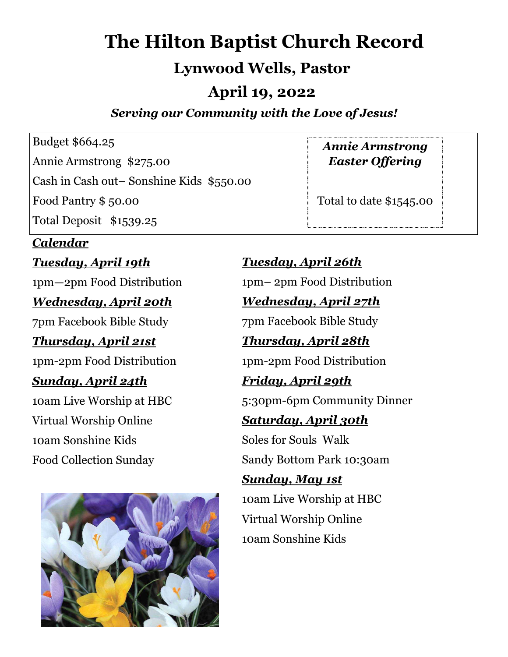# **The Hilton Baptist Church Record**

### **Lynwood Wells, Pastor**

### **April 19, 2022**

*Serving our Community with the Love of Jesus!* 

Budget \$664.25

Annie Armstrong \$275.00 Cash in Cash out– Sonshine Kids \$550.00

Food Pantry \$ 50.00

Total Deposit \$1539.25

#### *Calendar*

#### *Tuesday, April 19th*

1pm—2pm Food Distribution

*Wednesday, April 20th* 

7pm Facebook Bible Study

*Thursday, April 21st* 

1pm-2pm Food Distribution

#### *Sunday, April 24th*

10am Live Worship at HBC Virtual Worship Online 10am Sonshine Kids Food Collection Sunday



*Annie Armstrong Easter Offering* 

Total to date \$1545.00

*Tuesday, April 26th*  1pm– 2pm Food Distribution *Wednesday, April 27th*  7pm Facebook Bible Study *Thursday, April 28th*  1pm-2pm Food Distribution *Friday, April 29th*  5:30pm-6pm Community Dinner *Saturday, April 30th*  Soles for Souls Walk Sandy Bottom Park 10:30am *Sunday, May 1st*  10am Live Worship at HBC

Virtual Worship Online 10am Sonshine Kids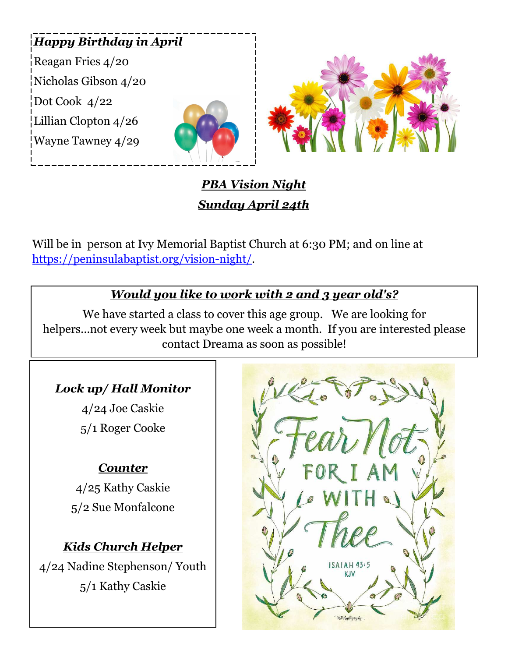

# *PBA Vision Night Sunday April 24th*

Will be in person at Ivy Memorial Baptist Church at 6:30 PM; and on line at https://peninsulabaptist.org/vision-night/.

### *Would you like to work with 2 and 3 year old's?*

We have started a class to cover this age group. We are looking for helpers...not every week but maybe one week a month. If you are interested please contact Dreama as soon as possible!

### *Lock up/ Hall Monitor*

4/24 Joe Caskie 5/1 Roger Cooke

## *Counter*

4/25 Kathy Caskie 5/2 Sue Monfalcone

# *Kids Church Helper*

4/24 Nadine Stephenson/ Youth 5/1 Kathy Caskie

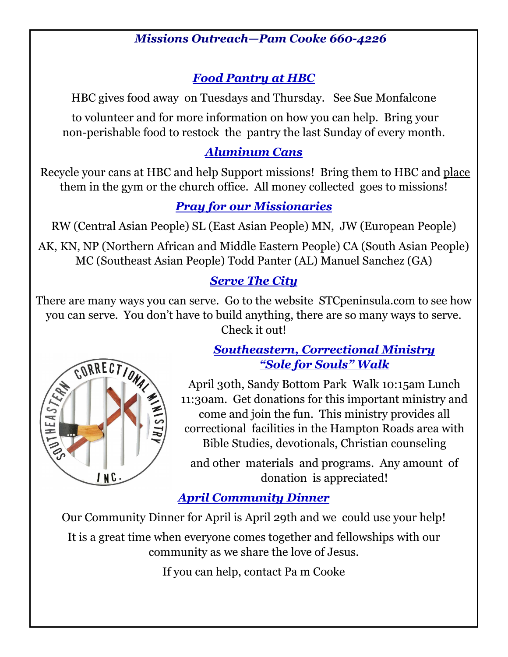### *Missions Outreach—Pam Cooke 660-4226*

### *Food Pantry at HBC*

HBC gives food away on Tuesdays and Thursday. See Sue Monfalcone

to volunteer and for more information on how you can help. Bring your non-perishable food to restock the pantry the last Sunday of every month.

### *Aluminum Cans*

 Recycle your cans at HBC and help Support missions! Bring them to HBC and place them in the gym or the church office. All money collected goes to missions!

## *Pray for our Missionaries*

RW (Central Asian People) SL (East Asian People) MN, JW (European People)

AK, KN, NP (Northern African and Middle Eastern People) CA (South Asian People) MC (Southeast Asian People) Todd Panter (AL) Manuel Sanchez (GA)

### *Serve The City*

There are many ways you can serve. Go to the website STCpeninsula.com to see how you can serve. You don't have to build anything, there are so many ways to serve. Check it out!



### *Southeastern, Correctional Ministry "Sole for Souls" Walk*

April 30th, Sandy Bottom Park Walk 10:15am Lunch 11:30am. Get donations for this important ministry and come and join the fun. This ministry provides all correctional facilities in the Hampton Roads area with Bible Studies, devotionals, Christian counseling

and other materials and programs. Any amount of donation is appreciated!

# *April Community Dinner*

Our Community Dinner for April is April 29th and we could use your help!

It is a great time when everyone comes together and fellowships with our community as we share the love of Jesus.

If you can help, contact Pa m Cooke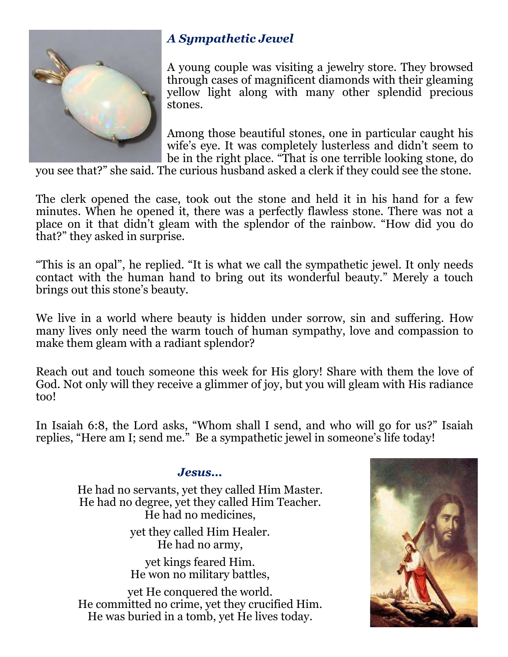

#### *A Sympathetic Jewel*

A young couple was visiting a jewelry store. They browsed through cases of magnificent diamonds with their gleaming yellow light along with many other splendid precious stones.

Among those beautiful stones, one in particular caught his wife's eye. It was completely lusterless and didn't seem to be in the right place. "That is one terrible looking stone, do

you see that?" she said. The curious husband asked a clerk if they could see the stone.

The clerk opened the case, took out the stone and held it in his hand for a few minutes. When he opened it, there was a perfectly flawless stone. There was not a place on it that didn't gleam with the splendor of the rainbow. "How did you do that?" they asked in surprise.

"This is an opal", he replied. "It is what we call the sympathetic jewel. It only needs contact with the human hand to bring out its wonderful beauty." Merely a touch brings out this stone's beauty.

We live in a world where beauty is hidden under sorrow, sin and suffering. How many lives only need the warm touch of human sympathy, love and compassion to make them gleam with a radiant splendor?

Reach out and touch someone this week for His glory! Share with them the love of God. Not only will they receive a glimmer of joy, but you will gleam with His radiance too!

In Isaiah 6:8, the Lord asks, "Whom shall I send, and who will go for us?" Isaiah replies, "Here am I; send me." Be a sympathetic jewel in someone's life today!

#### *Jesus…*

yet they called Him Healer. He had no army, He had no servants, yet they called Him Master. He had no degree, yet they called Him Teacher. He had no medicines,

**7:00 PM**  yet kings feared Him. He won no military battles,

yet He conquered the world. He committed no crime, yet they crucified Him. He was buried in a tomb, yet He lives today.

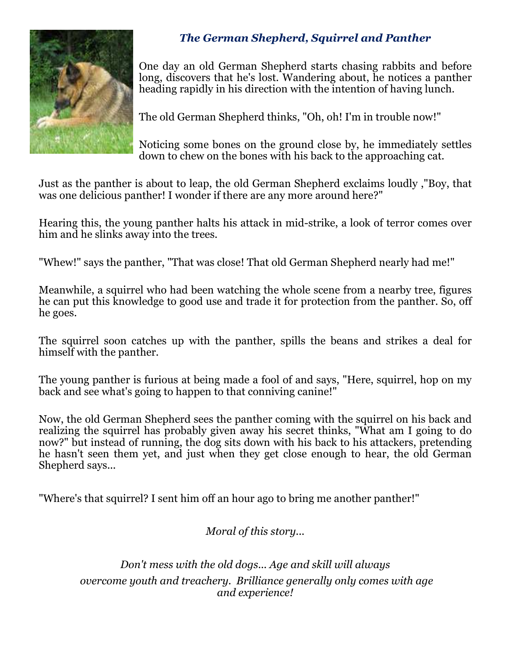

#### *The German Shepherd, Squirrel and Panther*

One day an old German Shepherd starts chasing rabbits and before long, discovers that he's lost. Wandering about, he notices a panther heading rapidly in his direction with the intention of having lunch.

The old German Shepherd thinks, "Oh, oh! I'm in trouble now!"

Noticing some bones on the ground close by, he immediately settles down to chew on the bones with his back to the approaching cat.

Just as the panther is about to leap, the old German Shepherd exclaims loudly ,"Boy, that was one delicious panther! I wonder if there are any more around here?"

Hearing this, the young panther halts his attack in mid-strike, a look of terror comes over him and he slinks away into the trees.

"Whew!" says the panther, "That was close! That old German Shepherd nearly had me!"

Meanwhile, a squirrel who had been watching the whole scene from a nearby tree, figures he can put this knowledge to good use and trade it for protection from the panther. So, off he goes.

The squirrel soon catches up with the panther, spills the beans and strikes a deal for himself with the panther.

The young panther is furious at being made a fool of and says, "Here, squirrel, hop on my back and see what's going to happen to that conniving canine!"

Now, the old German Shepherd sees the panther coming with the squirrel on his back and realizing the squirrel has probably given away his secret thinks, "What am I going to do now?" but instead of running, the dog sits down with his back to his attackers, pretending he hasn't seen them yet, and just when they get close enough to hear, the old German Shepherd says...

"Where's that squirrel? I sent him off an hour ago to bring me another panther!"

#### *Moral of this story...*

*Don't mess with the old dogs... Age and skill will always overcome youth and treachery. Brilliance generally only comes with age and experience!*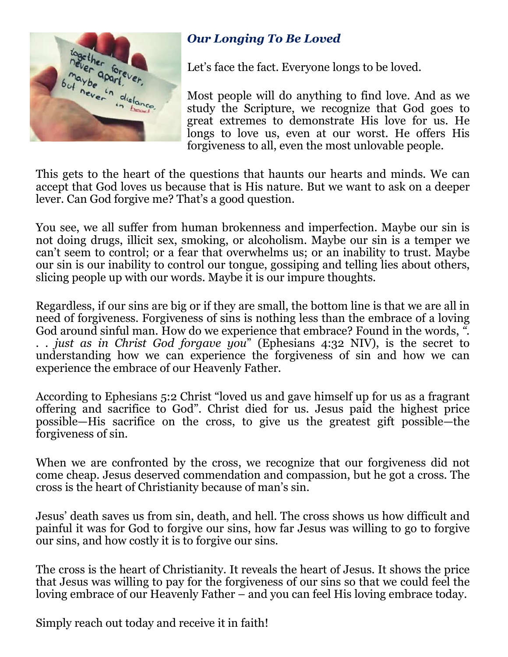

### *Our Longing To Be Loved*

Let's face the fact. Everyone longs to be loved.

Most people will do anything to find love. And as we study the Scripture, we recognize that God goes to great extremes to demonstrate His love for us. He longs to love us, even at our worst. He offers His forgiveness to all, even the most unlovable people.

This gets to the heart of the questions that haunts our hearts and minds. We can accept that God loves us because that is His nature. But we want to ask on a deeper lever. Can God forgive me? That's a good question.

You see, we all suffer from human brokenness and imperfection. Maybe our sin is not doing drugs, illicit sex, smoking, or alcoholism. Maybe our sin is a temper we can't seem to control; or a fear that overwhelms us; or an inability to trust. Maybe our sin is our inability to control our tongue, gossiping and telling lies about others, slicing people up with our words. Maybe it is our impure thoughts.

Regardless, if our sins are big or if they are small, the bottom line is that we are all in need of forgiveness. Forgiveness of sins is nothing less than the embrace of a loving God around sinful man. How do we experience that embrace? Found in the words, *". . . just as in Christ God forgave you*" (Ephesians 4:32 NIV), is the secret to understanding how we can experience the forgiveness of sin and how we can experience the embrace of our Heavenly Father.

According to Ephesians 5:2 Christ "loved us and gave himself up for us as a fragrant offering and sacrifice to God". Christ died for us. Jesus paid the highest price possible—His sacrifice on the cross, to give us the greatest gift possible—the forgiveness of sin.

When we are confronted by the cross, we recognize that our forgiveness did not come cheap. Jesus deserved commendation and compassion, but he got a cross. The cross is the heart of Christianity because of man's sin.

Jesus' death saves us from sin, death, and hell. The cross shows us how difficult and painful it was for God to forgive our sins, how far Jesus was willing to go to forgive our sins, and how costly it is to forgive our sins.

The cross is the heart of Christianity. It reveals the heart of Jesus. It shows the price that Jesus was willing to pay for the forgiveness of our sins so that we could feel the loving embrace of our Heavenly Father – and you can feel His loving embrace today.

Simply reach out today and receive it in faith!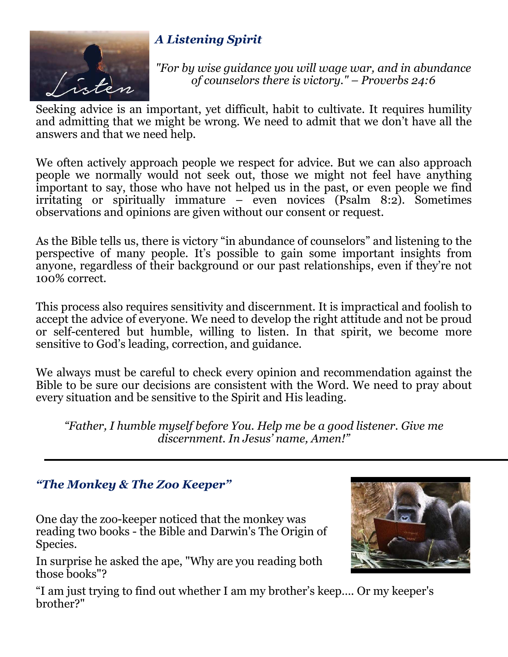### *A Listening Spirit*



*"For by wise guidance you will wage war, and in abundance of counselors there is victory." – Proverbs 24:6* 

Seeking advice is an important, yet difficult, habit to cultivate. It requires humility and admitting that we might be wrong. We need to admit that we don't have all the answers and that we need help.

We often actively approach people we respect for advice. But we can also approach people we normally would not seek out, those we might not feel have anything important to say, those who have not helped us in the past, or even people we find irritating or spiritually immature – even novices (Psalm 8:2). Sometimes observations and opinions are given without our consent or request.

As the Bible tells us, there is victory "in abundance of counselors" and listening to the perspective of many people. It's possible to gain some important insights from anyone, regardless of their background or our past relationships, even if they're not 100% correct.

This process also requires sensitivity and discernment. It is impractical and foolish to accept the advice of everyone. We need to develop the right attitude and not be proud or self-centered but humble, willing to listen. In that spirit, we become more sensitive to God's leading, correction, and guidance.

We always must be careful to check every opinion and recommendation against the Bible to be sure our decisions are consistent with the Word. We need to pray about every situation and be sensitive to the Spirit and His leading.

*"Father, I humble myself before You. Help me be a good listener. Give me discernment. In Jesus' name, Amen!"*

#### *"The Monkey & The Zoo Keeper"*

One day the zoo-keeper noticed that the monkey was reading two books - the Bible and Darwin's The Origin of Species.

In surprise he asked the ape, "Why are you reading both those books"?



"I am just trying to find out whether I am my brother's keep…. Or my keeper's brother?"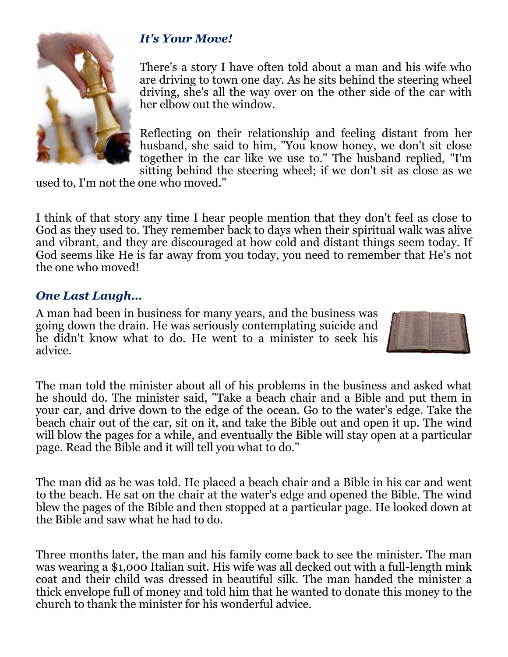

#### *It's Your Move!*

There's a story I have often told about a man and his wife who are driving to town one day. As he sits behind the steering wheel driving, she's all the way over on the other side of the car with her elbow out the window.

Reflecting on their relationship and feeling distant from her husband, she said to him, "You know honey, we don't sit close together in the car like we use to." The husband replied, "I'm sitting behind the steering wheel; if we don't sit as close as we

used to, I'm not the one who moved."

I think of that story any time I hear people mention that they don't feel as close to God as they used to. They remember back to days when their spiritual walk was alive and vibrant, and they are discouraged at how cold and distant things seem today. If God seems like He is far away from you today, you need to remember that He's not the one who moved!

#### *One Last Laugh…*

A man had been in business for many years, and the business was going down the drain. He was seriously contemplating suicide and he didn't know what to do. He went to a minister to seek his advice.



The man told the minister about all of his problems in the business and asked what he should do. The minister said, "Take a beach chair and a Bible and put them in your car, and drive down to the edge of the ocean. Go to the water's edge. Take the beach chair out of the car, sit on it, and take the Bible out and open it up. The wind will blow the pages for a while, and eventually the Bible will stay open at a particular page. Read the Bible and it will tell you what to do."

The man did as he was told. He placed a beach chair and a Bible in his car and went to the beach. He sat on the chair at the water's edge and opened the Bible. The wind blew the pages of the Bible and then stopped at a particular page. He looked down at the Bible and saw what he had to do.

Three months later, the man and his family come back to see the minister. The man was wearing a \$1,000 Italian suit. His wife was all decked out with a full-length mink coat and their child was dressed in beautiful silk. The man handed the minister a thick envelope full of money and told him that he wanted to donate this money to the church to thank the minister for his wonderful advice.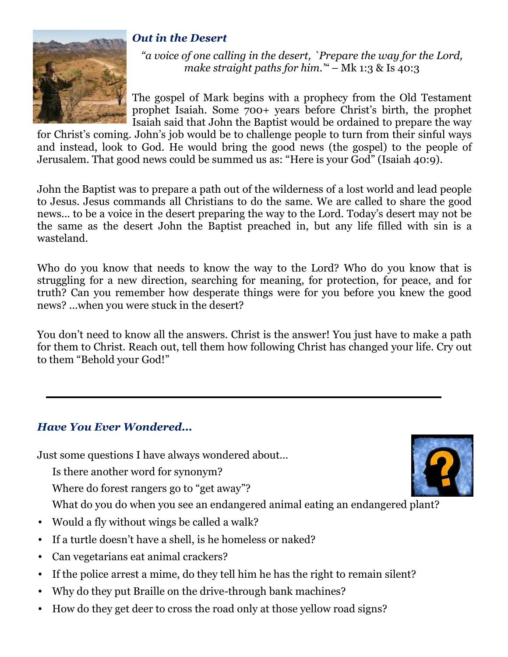#### *Out in the Desert*



*"a voice of one calling in the desert, `Prepare the way for the Lord, make straight paths for him.'"* – Mk 1:3 & Is 40:3

The gospel of Mark begins with a prophecy from the Old Testament prophet Isaiah. Some 700+ years before Christ's birth, the prophet Isaiah said that John the Baptist would be ordained to prepare the way

for Christ's coming. John's job would be to challenge people to turn from their sinful ways and instead, look to God. He would bring the good news (the gospel) to the people of Jerusalem. That good news could be summed us as: "Here is your God" (Isaiah 40:9).

John the Baptist was to prepare a path out of the wilderness of a lost world and lead people to Jesus. Jesus commands all Christians to do the same. We are called to share the good news... to be a voice in the desert preparing the way to the Lord. Today's desert may not be the same as the desert John the Baptist preached in, but any life filled with sin is a wasteland.

Who do you know that needs to know the way to the Lord? Who do you know that is struggling for a new direction, searching for meaning, for protection, for peace, and for truth? Can you remember how desperate things were for you before you knew the good news? ...when you were stuck in the desert?

You don't need to know all the answers. Christ is the answer! You just have to make a path for them to Christ. Reach out, tell them how following Christ has changed your life. Cry out to them "Behold your God!"

#### *Have You Ever Wondered...*

Just some questions I have always wondered about…

Is there another word for synonym?

Where do forest rangers go to "get away"?

What do you do when you see an endangered animal eating an endangered plant?

- Would a fly without wings be called a walk?
- If a turtle doesn't have a shell, is he homeless or naked?
- Can vegetarians eat animal crackers?
- If the police arrest a mime, do they tell him he has the right to remain silent?
- Why do they put Braille on the drive-through bank machines?
- How do they get deer to cross the road only at those yellow road signs?